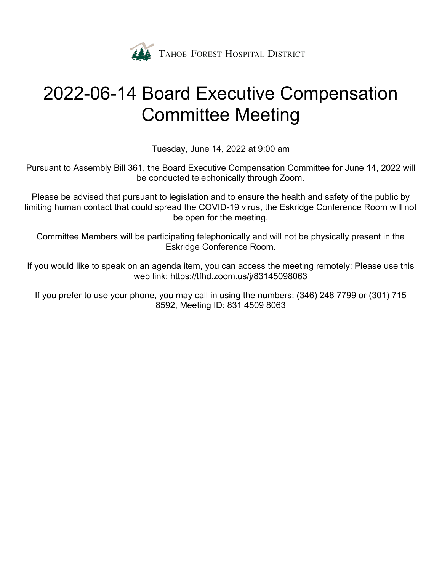

# 2022-06-14 Board Executive Compensation Committee Meeting

Tuesday, June 14, 2022 at 9:00 am

Pursuant to Assembly Bill 361, the Board Executive Compensation Committee for June 14, 2022 will be conducted telephonically through Zoom.

Please be advised that pursuant to legislation and to ensure the health and safety of the public by limiting human contact that could spread the COVID-19 virus, the Eskridge Conference Room will not be open for the meeting.

Committee Members will be participating telephonically and will not be physically present in the Eskridge Conference Room.

If you would like to speak on an agenda item, you can access the meeting remotely: Please use this web link: https://tfhd.zoom.us/j/83145098063

If you prefer to use your phone, you may call in using the numbers: (346) 248 7799 or (301) 715 8592, Meeting ID: 831 4509 8063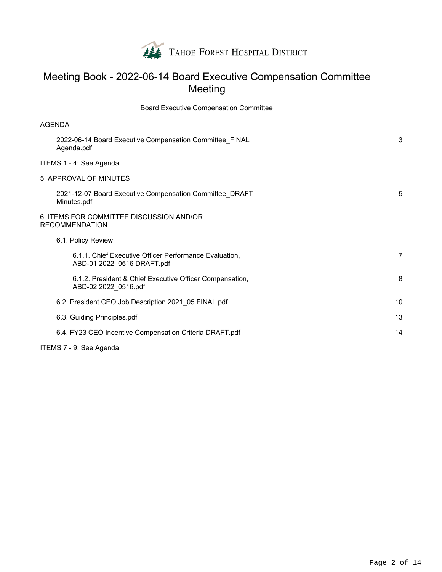

# Meeting Book - 2022-06-14 Board Executive Compensation Committee Meeting

Board Executive Compensation Committee

| <b>AGENDA</b>                                                                        |    |  |  |  |  |
|--------------------------------------------------------------------------------------|----|--|--|--|--|
| 2022-06-14 Board Executive Compensation Committee FINAL<br>Agenda.pdf                | 3  |  |  |  |  |
| ITEMS 1 - 4: See Agenda                                                              |    |  |  |  |  |
| 5. APPROVAL OF MINUTES                                                               |    |  |  |  |  |
| 2021-12-07 Board Executive Compensation Committee_DRAFT<br>Minutes.pdf               |    |  |  |  |  |
| 6. ITEMS FOR COMMITTEE DISCUSSION AND/OR<br><b>RECOMMENDATION</b>                    |    |  |  |  |  |
| 6.1. Policy Review                                                                   |    |  |  |  |  |
| 6.1.1. Chief Executive Officer Performance Evaluation,<br>ABD-01 2022_0516 DRAFT.pdf | 7  |  |  |  |  |
| 6.1.2. President & Chief Executive Officer Compensation,<br>ABD-02 2022_0516.pdf     | 8  |  |  |  |  |
| 6.2. President CEO Job Description 2021 05 FINAL.pdf                                 | 10 |  |  |  |  |
| 6.3. Guiding Principles.pdf                                                          | 13 |  |  |  |  |
| 6.4. FY23 CEO Incentive Compensation Criteria DRAFT.pdf                              | 14 |  |  |  |  |
| ITEMS 7 - 9: See Agenda                                                              |    |  |  |  |  |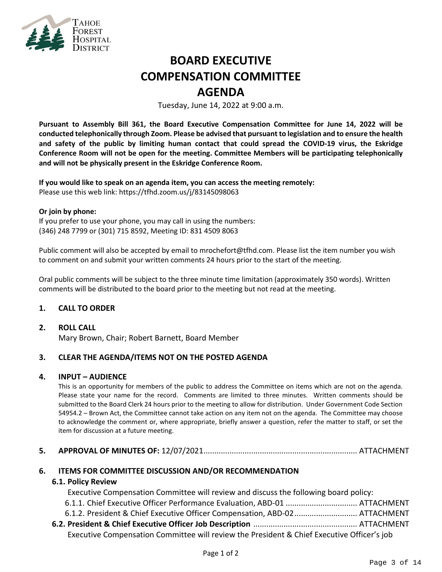

# **BOARD EXECUTIVE COMPENSATION COMMITTEE AGENDA**

Tuesday, June 14, 2022 at 9:00 a.m.

**Pursuant to Assembly Bill 361, the Board Executive Compensation Committee for June 14, 2022 will be conducted telephonically through Zoom. Please be advised that pursuant to legislation and to ensure the health and safety of the public by limiting human contact that could spread the COVID-19 virus, the Eskridge Conference Room will not be open for the meeting. Committee Members will be participating telephonically and will not be physically present in the Eskridge Conference Room.**

**If you would like to speak on an agenda item, you can access the meeting remotely:**  Please use this web link:<https://tfhd.zoom.us/j/83145098063>

#### **Or join by phone:**

If you prefer to use your phone, you may call in using the numbers: (346) 248 7799 or (301) 715 8592, Meeting ID: 831 4509 8063

Public comment will also be accepted by email to mrochefort@tfhd.com. Please list the item number you wish to comment on and submit your written comments 24 hours prior to the start of the meeting.

Oral public comments will be subject to the three minute time limitation (approximately 350 words). Written comments will be distributed to the board prior to the meeting but not read at the meeting.

### **1. CALL TO ORDER**

### **2. ROLL CALL**

Mary Brown, Chair; Robert Barnett, Board Member

### **3. CLEAR THE AGENDA/ITEMS NOT ON THE POSTED AGENDA**

### **4. INPUT – AUDIENCE**

This is an opportunity for members of the public to address the Committee on items which are not on the agenda. Please state your name for the record. Comments are limited to three minutes. Written comments should be submitted to the Board Clerk 24 hours prior to the meeting to allow for distribution. Under Government Code Section 54954.2 – Brown Act, the Committee cannot take action on any item not on the agenda. The Committee may choose to acknowledge the comment or, where appropriate, briefly answer a question, refer the matter to staff, or set the item for discussion at a future meeting.

### **5. APPROVAL OF MINUTES OF:** 12/07/2021....................................................................... ATTACHMENT

### **6. ITEMS FOR COMMITTEE DISCUSSION AND/OR RECOMMENDATION**

### **6.1. Policy Review**

Executive Compensation Committee will review and discuss the following board policy: 6.1.1. Chief Executive Officer Performance Evaluation, ABD-01 ................................. ATTACHMENT

- 6.1.2. President & Chief Executive Officer Compensation, ABD-02............................. ATTACHMENT
- **6.2. President & Chief Executive Officer Job Description** ................................................ ATTACHMENT Executive Compensation Committee will review the President & Chief Executive Officer's job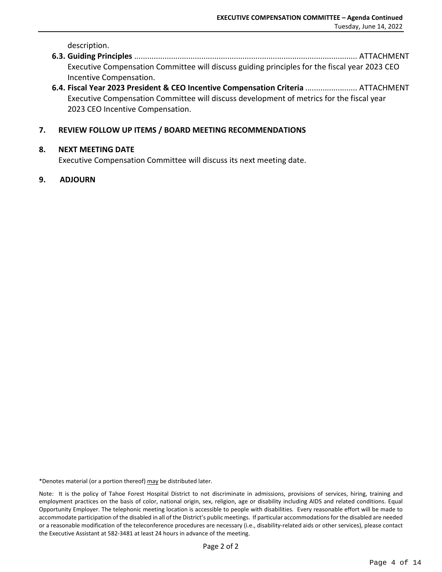description.

- **6.3. Guiding Principles** ....................................................................................................... ATTACHMENT Executive Compensation Committee will discuss guiding principles for the fiscal year 2023 CEO Incentive Compensation.
- **6.4. Fiscal Year 2023 President & CEO Incentive Compensation Criteria** ........................ ATTACHMENT Executive Compensation Committee will discuss development of metrics for the fiscal year 2023 CEO Incentive Compensation.

### **7. REVIEW FOLLOW UP ITEMS / BOARD MEETING RECOMMENDATIONS**

### **8. NEXT MEETING DATE**

Executive Compensation Committee will discuss its next meeting date.

### **9. ADJOURN**

\*Denotes material (or a portion thereof) may be distributed later.

Note: It is the policy of Tahoe Forest Hospital District to not discriminate in admissions, provisions of services, hiring, training and employment practices on the basis of color, national origin, sex, religion, age or disability including AIDS and related conditions. Equal Opportunity Employer. The telephonic meeting location is accessible to people with disabilities. Every reasonable effort will be made to accommodate participation of the disabled in all of the District's public meetings. If particular accommodations for the disabled are needed or a reasonable modification of the teleconference procedures are necessary (i.e., disability-related aids or other services), please contact the Executive Assistant at 582-3481 at least 24 hours in advance of the meeting.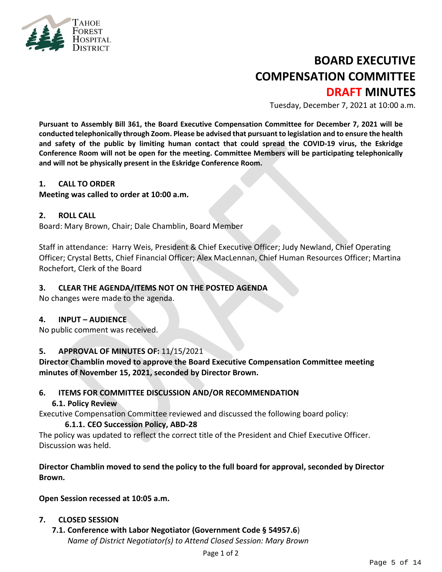

# **BOARD EXECUTIVE COMPENSATION COMMITTEE DRAFT MINUTES**

Tuesday, December 7, 2021 at 10:00 a.m.

**Pursuant to Assembly Bill 361, the Board Executive Compensation Committee for December 7, 2021 will be conducted telephonically through Zoom. Please be advised that pursuant to legislation and to ensure the health and safety of the public by limiting human contact that could spread the COVID-19 virus, the Eskridge Conference Room will not be open for the meeting. Committee Members will be participating telephonically and will not be physically present in the Eskridge Conference Room.**

### **1. CALL TO ORDER**

### **Meeting was called to order at 10:00 a.m.**

### **2. ROLL CALL**

Board: Mary Brown, Chair; Dale Chamblin, Board Member

Staff in attendance: Harry Weis, President & Chief Executive Officer; Judy Newland, Chief Operating Officer; Crystal Betts, Chief Financial Officer; Alex MacLennan, Chief Human Resources Officer; Martina Rochefort, Clerk of the Board

### **3. CLEAR THE AGENDA/ITEMS NOT ON THE POSTED AGENDA**

No changes were made to the agenda.

### **4. INPUT – AUDIENCE**

No public comment was received.

### **5. APPROVAL OF MINUTES OF:** 11/15/2021

**Director Chamblin moved to approve the Board Executive Compensation Committee meeting minutes of November 15, 2021, seconded by Director Brown.**

### **6. ITEMS FOR COMMITTEE DISCUSSION AND/OR RECOMMENDATION**

### **6.1. Policy Review**

Executive Compensation Committee reviewed and discussed the following board policy:

### **6.1.1. CEO Succession Policy, ABD-28**

The policy was updated to reflect the correct title of the President and Chief Executive Officer. Discussion was held.

### **Director Chamblin moved to send the policy to the full board for approval, seconded by Director Brown.**

**Open Session recessed at 10:05 a.m.**

### **7. CLOSED SESSION**

**7.1. Conference with Labor Negotiator (Government Code § 54957.6**) *Name of District Negotiator(s) to Attend Closed Session: Mary Brown*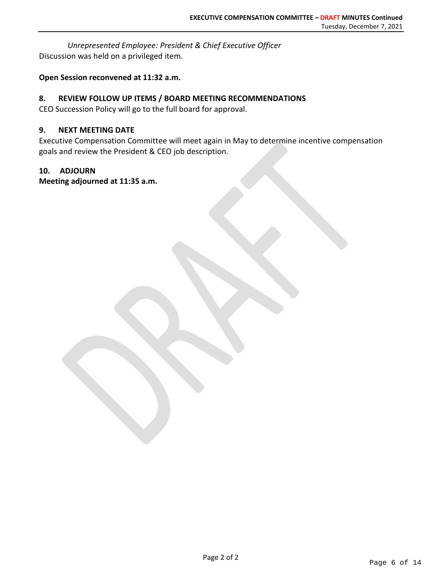*Unrepresented Employee: President & Chief Executive Officer* Discussion was held on a privileged item.

### **Open Session reconvened at 11:32 a.m.**

### **8. REVIEW FOLLOW UP ITEMS / BOARD MEETING RECOMMENDATIONS**

CEO Succession Policy will go to the full board for approval.

### **9. NEXT MEETING DATE**

Executive Compensation Committee will meet again in May to determine incentive compensation goals and review the President & CEO job description.

### **10. ADJOURN**

**Meeting adjourned at 11:35 a.m.**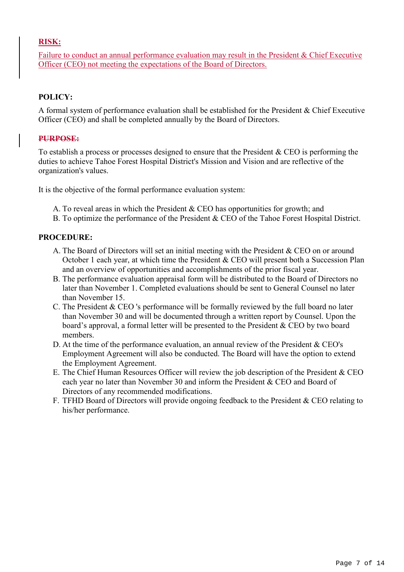## **RISK:**

Failure to conduct an annual performance evaluation may result in the President & Chief Executive Officer (CEO) not meeting the expectations of the Board of Directors.

### **POLICY:**

A formal system of performance evaluation shall be established for the President & Chief Executive Officer (CEO) and shall be completed annually by the Board of Directors.

### **PURPOSE:**

To establish a process or processes designed to ensure that the President & CEO is performing the duties to achieve Tahoe Forest Hospital District's Mission and Vision and are reflective of the organization's values.

It is the objective of the formal performance evaluation system:

- A. To reveal areas in which the President & CEO has opportunities for growth; and
- B. To optimize the performance of the President & CEO of the Tahoe Forest Hospital District.

### **PROCEDURE:**

- A. The Board of Directors will set an initial meeting with the President & CEO on or around October 1 each year, at which time the President & CEO will present both a Succession Plan and an overview of opportunities and accomplishments of the prior fiscal year.
- B. The performance evaluation appraisal form will be distributed to the Board of Directors no later than November 1. Completed evaluations should be sent to General Counsel no later than November 15.
- C. The President & CEO 's performance will be formally reviewed by the full board no later than November 30 and will be documented through a written report by Counsel. Upon the board's approval, a formal letter will be presented to the President & CEO by two board members.
- D. At the time of the performance evaluation, an annual review of the President & CEO's Employment Agreement will also be conducted. The Board will have the option to extend the Employment Agreement.
- E. The Chief Human Resources Officer will review the job description of the President & CEO each year no later than November 30 and inform the President & CEO and Board of Directors of any recommended modifications.
- F. TFHD Board of Directors will provide ongoing feedback to the President & CEO relating to his/her performance.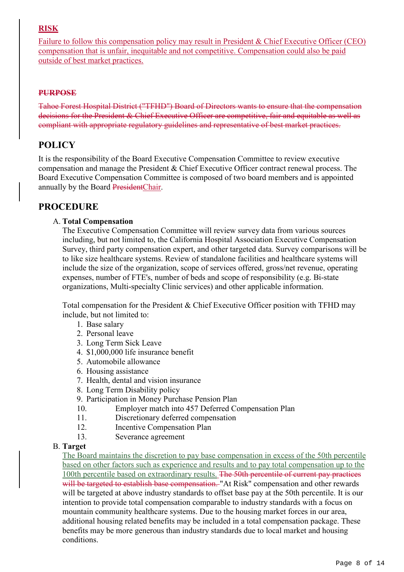# **RISK**

Failure to follow this compensation policy may result in President & Chief Executive Officer (CEO) compensation that is unfair, inequitable and not competitive. Compensation could also be paid outside of best market practices.

## **PURPOSE**

Tahoe Forest Hospital District ("TFHD") Board of Directors wants to ensure that the compensation decisions for the President & Chief Executive Officer are competitive, fair and equitable as well as compliant with appropriate regulatory guidelines and representative of best market practices.

# **POLICY**

It is the responsibility of the Board Executive Compensation Committee to review executive compensation and manage the President & Chief Executive Officer contract renewal process. The Board Executive Compensation Committee is composed of two board members and is appointed annually by the Board PresidentChair.

# **PROCEDURE**

### A. **Total Compensation**

The Executive Compensation Committee will review survey data from various sources including, but not limited to, the California Hospital Association Executive Compensation Survey, third party compensation expert, and other targeted data. Survey comparisons will be to like size healthcare systems. Review of standalone facilities and healthcare systems will include the size of the organization, scope of services offered, gross/net revenue, operating expenses, number of FTE's, number of beds and scope of responsibility (e.g. Bi-state organizations, Multi-specialty Clinic services) and other applicable information.

Total compensation for the President & Chief Executive Officer position with TFHD may include, but not limited to:

- 1. Base salary
- 2. Personal leave
- 3. Long Term Sick Leave
- 4. \$1,000,000 life insurance benefit
- 5. Automobile allowance
- 6. Housing assistance
- 7. Health, dental and vision insurance
- 8. Long Term Disability policy
- 9. Participation in Money Purchase Pension Plan
- 10. Employer match into 457 Deferred Compensation Plan
- 11. Discretionary deferred compensation
- 12. Incentive Compensation Plan
- 13. Severance agreement

### B. **Target**

The Board maintains the discretion to pay base compensation in excess of the 50th percentile based on other factors such as experience and results and to pay total compensation up to the 100th percentile based on extraordinary results. The 50th percentile of current pay practices will be targeted to establish base compensation. "At Risk" compensation and other rewards will be targeted at above industry standards to offset base pay at the 50th percentile. It is our intention to provide total compensation comparable to industry standards with a focus on mountain community healthcare systems. Due to the housing market forces in our area, additional housing related benefits may be included in a total compensation package. These benefits may be more generous than industry standards due to local market and housing conditions.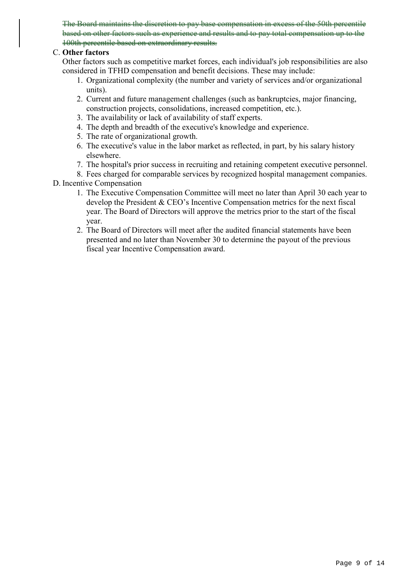The Board maintains the discretion to pay base compensation in excess of the 50th percentile based on other factors such as experience and results and to pay total compensation up to the 100th percentile based on extraordinary results.

### C. **Other factors**

Other factors such as competitive market forces, each individual's job responsibilities are also considered in TFHD compensation and benefit decisions. These may include:

- 1. Organizational complexity (the number and variety of services and/or organizational units).
- 2. Current and future management challenges (such as bankruptcies, major financing, construction projects, consolidations, increased competition, etc.).
- 3. The availability or lack of availability of staff experts.
- 4. The depth and breadth of the executive's knowledge and experience.
- 5. The rate of organizational growth.
- 6. The executive's value in the labor market as reflected, in part, by his salary history elsewhere.
- 7. The hospital's prior success in recruiting and retaining competent executive personnel.
- 8. Fees charged for comparable services by recognized hospital management companies. D. Incentive Compensation
	- 1. The Executive Compensation Committee will meet no later than April 30 each year to develop the President & CEO's Incentive Compensation metrics for the next fiscal year. The Board of Directors will approve the metrics prior to the start of the fiscal year.
	- 2. The Board of Directors will meet after the audited financial statements have been presented and no later than November 30 to determine the payout of the previous fiscal year Incentive Compensation award.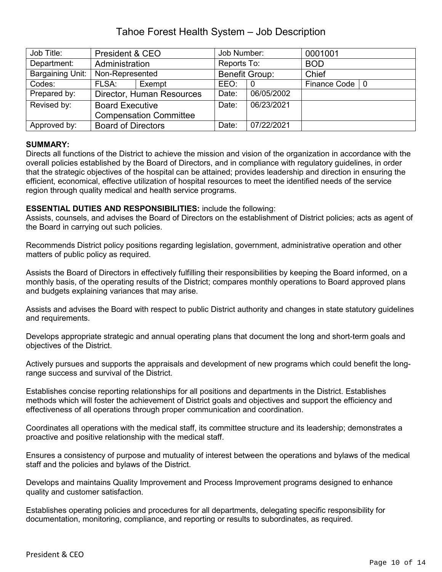# Tahoe Forest Health System – Job Description

| Job Title:       | President & CEO               |        | Job Number:           |            | 0001001          |  |
|------------------|-------------------------------|--------|-----------------------|------------|------------------|--|
| Department:      | Administration                |        | Reports To:           |            | <b>BOD</b>       |  |
| Bargaining Unit: | Non-Represented               |        | <b>Benefit Group:</b> |            | Chief            |  |
| Codes:           | FLSA:                         | Exempt | EEO:                  | $\Omega$   | Finance Code   0 |  |
| Prepared by:     | Director, Human Resources     |        | Date:                 | 06/05/2002 |                  |  |
| Revised by:      | <b>Board Executive</b>        |        | Date:                 | 06/23/2021 |                  |  |
|                  | <b>Compensation Committee</b> |        |                       |            |                  |  |
| Approved by:     | <b>Board of Directors</b>     |        | Date:                 | 07/22/2021 |                  |  |

### **SUMMARY:**

Directs all functions of the District to achieve the mission and vision of the organization in accordance with the overall policies established by the Board of Directors, and in compliance with regulatory guidelines, in order that the strategic objectives of the hospital can be attained; provides leadership and direction in ensuring the efficient, economical, effective utilization of hospital resources to meet the identified needs of the service region through quality medical and health service programs.

### **ESSENTIAL DUTIES AND RESPONSIBILITIES:** include the following:

Assists, counsels, and advises the Board of Directors on the establishment of District policies; acts as agent of the Board in carrying out such policies.

Recommends District policy positions regarding legislation, government, administrative operation and other matters of public policy as required.

Assists the Board of Directors in effectively fulfilling their responsibilities by keeping the Board informed, on a monthly basis, of the operating results of the District; compares monthly operations to Board approved plans and budgets explaining variances that may arise.

Assists and advises the Board with respect to public District authority and changes in state statutory guidelines and requirements.

Develops appropriate strategic and annual operating plans that document the long and short-term goals and objectives of the District.

Actively pursues and supports the appraisals and development of new programs which could benefit the longrange success and survival of the District.

Establishes concise reporting relationships for all positions and departments in the District. Establishes methods which will foster the achievement of District goals and objectives and support the efficiency and effectiveness of all operations through proper communication and coordination.

Coordinates all operations with the medical staff, its committee structure and its leadership; demonstrates a proactive and positive relationship with the medical staff.

Ensures a consistency of purpose and mutuality of interest between the operations and bylaws of the medical staff and the policies and bylaws of the District.

Develops and maintains Quality Improvement and Process Improvement programs designed to enhance quality and customer satisfaction.

Establishes operating policies and procedures for all departments, delegating specific responsibility for documentation, monitoring, compliance, and reporting or results to subordinates, as required.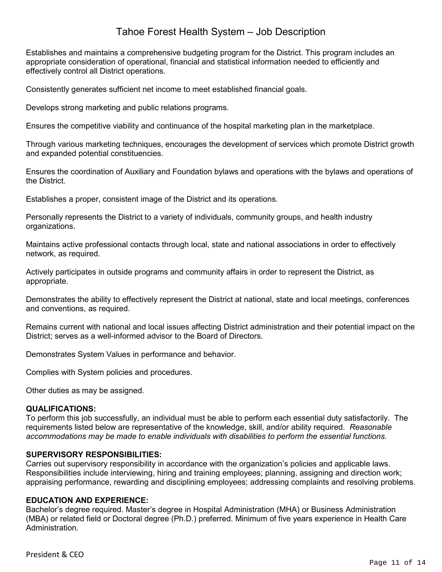# Tahoe Forest Health System – Job Description

Establishes and maintains a comprehensive budgeting program for the District. This program includes an appropriate consideration of operational, financial and statistical information needed to efficiently and effectively control all District operations.

Consistently generates sufficient net income to meet established financial goals.

Develops strong marketing and public relations programs.

Ensures the competitive viability and continuance of the hospital marketing plan in the marketplace.

Through various marketing techniques, encourages the development of services which promote District growth and expanded potential constituencies.

Ensures the coordination of Auxiliary and Foundation bylaws and operations with the bylaws and operations of the District.

Establishes a proper, consistent image of the District and its operations.

Personally represents the District to a variety of individuals, community groups, and health industry organizations.

Maintains active professional contacts through local, state and national associations in order to effectively network, as required.

Actively participates in outside programs and community affairs in order to represent the District, as appropriate.

Demonstrates the ability to effectively represent the District at national, state and local meetings, conferences and conventions, as required.

Remains current with national and local issues affecting District administration and their potential impact on the District; serves as a well-informed advisor to the Board of Directors.

Demonstrates System Values in performance and behavior.

Complies with System policies and procedures.

Other duties as may be assigned.

### **QUALIFICATIONS:**

To perform this job successfully, an individual must be able to perform each essential duty satisfactorily. The requirements listed below are representative of the knowledge, skill, and/or ability required. *Reasonable accommodations may be made to enable individuals with disabilities to perform the essential functions.*

### **SUPERVISORY RESPONSIBILITIES:**

Carries out supervisory responsibility in accordance with the organization's policies and applicable laws. Responsibilities include interviewing, hiring and training employees; planning, assigning and direction work; appraising performance, rewarding and disciplining employees; addressing complaints and resolving problems.

### **EDUCATION AND EXPERIENCE:**

Bachelor's degree required. Master's degree in Hospital Administration (MHA) or Business Administration (MBA) or related field or Doctoral degree (Ph.D.) preferred. Minimum of five years experience in Health Care **Administration**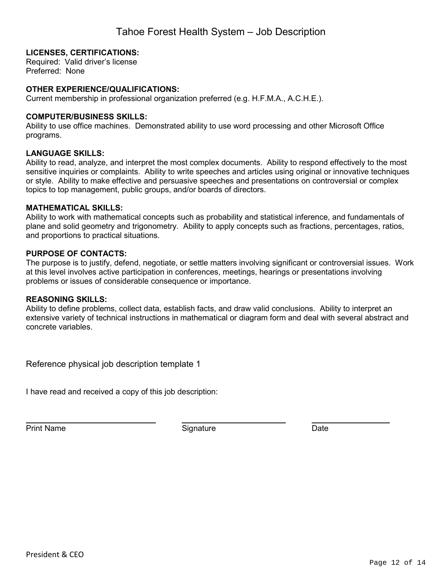### **LICENSES, CERTIFICATIONS:**

Required: Valid driver's license Preferred: None

### **OTHER EXPERIENCE/QUALIFICATIONS:**

Current membership in professional organization preferred (e.g. H.F.M.A., A.C.H.E.).

### **COMPUTER/BUSINESS SKILLS:**

Ability to use office machines. Demonstrated ability to use word processing and other Microsoft Office programs.

### **LANGUAGE SKILLS:**

Ability to read, analyze, and interpret the most complex documents. Ability to respond effectively to the most sensitive inquiries or complaints. Ability to write speeches and articles using original or innovative techniques or style. Ability to make effective and persuasive speeches and presentations on controversial or complex topics to top management, public groups, and/or boards of directors.

### **MATHEMATICAL SKILLS:**

Ability to work with mathematical concepts such as probability and statistical inference, and fundamentals of plane and solid geometry and trigonometry. Ability to apply concepts such as fractions, percentages, ratios, and proportions to practical situations.

### **PURPOSE OF CONTACTS:**

The purpose is to justify, defend, negotiate, or settle matters involving significant or controversial issues. Work at this level involves active participation in conferences, meetings, hearings or presentations involving problems or issues of considerable consequence or importance.

### **REASONING SKILLS:**

Ability to define problems, collect data, establish facts, and draw valid conclusions. Ability to interpret an extensive variety of technical instructions in mathematical or diagram form and deal with several abstract and concrete variables.

Reference physical job description template 1

I have read and received a copy of this job description:

Print Name **Date Date Signature Constant Constant Constant Constant Constant Constant Constant Constant Constant Constant Constant Constant Constant Constant Constant Constant Constant Constant Constant Constant Cons**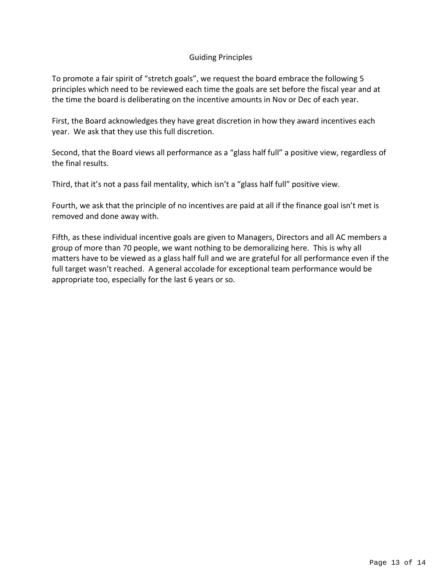### Guiding Principles

To promote a fair spirit of "stretch goals", we request the board embrace the following 5 principles which need to be reviewed each time the goals are set before the fiscal year and at the time the board is deliberating on the incentive amounts in Nov or Dec of each year.

First, the Board acknowledges they have great discretion in how they award incentives each year. We ask that they use this full discretion.

Second, that the Board views all performance as a "glass half full" a positive view, regardless of the final results.

Third, that it's not a pass fail mentality, which isn't a "glass half full" positive view.

Fourth, we ask that the principle of no incentives are paid at all if the finance goal isn't met is removed and done away with.

Fifth, as these individual incentive goals are given to Managers, Directors and all AC members a group of more than 70 people, we want nothing to be demoralizing here. This is why all matters have to be viewed as a glass half full and we are grateful for all performance even if the full target wasn't reached. A general accolade for exceptional team performance would be appropriate too, especially for the last 6 years or so.